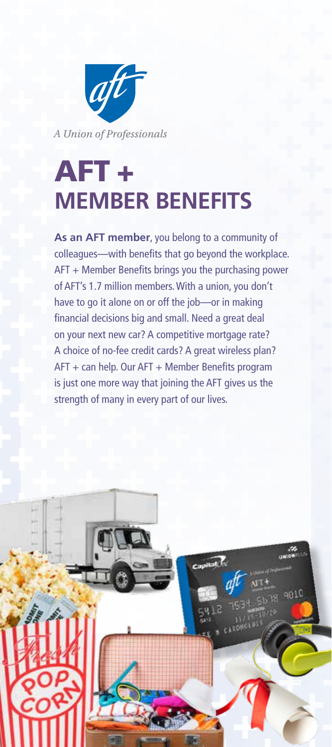

# AFT + **MEMBER BENEFITS**

**As an AFT member**, you belong to a community of colleagues—with benefits that go beyond the workplace. AFT + Member Benefits brings you the purchasing power of AFT's 1.7 million members. With a union, you don't have to go it alone on or off the job—or in making financial decisions big and small. Need a great deal on your next new car? A competitive mortgage rate? A choice of no-fee credit cards? A great wireless plan? AFT + can help. Our AFT + Member Benefits program is just one more way that joining the AFT gives us the strength of many in every part of our lives.

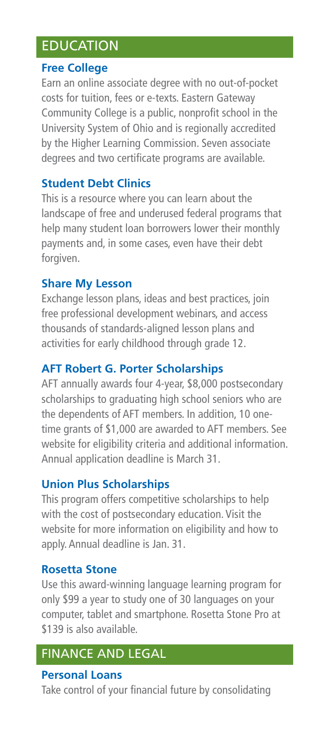# **EDUCATION**

#### **Free College**

Earn an online associate degree with no out-of-pocket costs for tuition, fees or e-texts. Eastern Gateway Community College is a public, nonprofit school in the University System of Ohio and is regionally accredited by the Higher Learning Commission. Seven associate degrees and two certificate programs are available.

## **Student Debt Clinics**

This is a resource where you can learn about the landscape of free and underused federal programs that help many student loan borrowers lower their monthly payments and, in some cases, even have their debt forgiven.

## **Share My Lesson**

Exchange lesson plans, ideas and best practices, join free professional development webinars, and access thousands of standards-aligned lesson plans and activities for early childhood through grade 12.

# **AFT Robert G. Porter Scholarships**

AFT annually awards four 4-year, \$8,000 postsecondary scholarships to graduating high school seniors who are the dependents of AFT members. In addition, 10 onetime grants of \$1,000 are awarded to AFT members. See website for eligibility criteria and additional information. Annual application deadline is March 31.

# **Union Plus Scholarships**

This program offers competitive scholarships to help with the cost of postsecondary education. Visit the website for more information on eligibility and how to apply. Annual deadline is Jan. 31.

## **Rosetta Stone**

Use this award-winning language learning program for only \$99 a year to study one of 30 languages on your computer, tablet and smartphone. Rosetta Stone Pro at \$139 is also available.

# FINANCE AND LEGAL

#### **Personal Loans**

Take control of your financial future by consolidating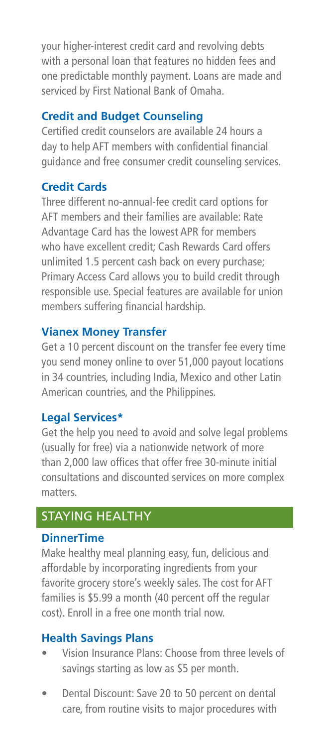your higher-interest credit card and revolving debts with a personal loan that features no hidden fees and one predictable monthly payment. Loans are made and serviced by First National Bank of Omaha.

## **Credit and Budget Counseling**

Certified credit counselors are available 24 hours a day to help AFT members with confidential financial guidance and free consumer credit counseling services.

## **Credit Cards**

Three different no-annual-fee credit card options for AFT members and their families are available: Rate Advantage Card has the lowest APR for members who have excellent credit; Cash Rewards Card offers unlimited 1.5 percent cash back on every purchase; Primary Access Card allows you to build credit through responsible use. Special features are available for union members suffering financial hardship.

## **Vianex Money Transfer**

Get a 10 percent discount on the transfer fee every time you send money online to over 51,000 payout locations in 34 countries, including India, Mexico and other Latin American countries, and the Philippines.

## **Legal Services\***

Get the help you need to avoid and solve legal problems (usually for free) via a nationwide network of more than 2,000 law offices that offer free 30-minute initial consultations and discounted services on more complex matters.

# STAYING HEALTHY

#### **DinnerTime**

Make healthy meal planning easy, fun, delicious and affordable by incorporating ingredients from your favorite grocery store's weekly sales. The cost for AFT families is \$5.99 a month (40 percent off the regular cost). Enroll in a free one month trial now.

## **Health Savings Plans**

- Vision Insurance Plans: Choose from three levels of savings starting as low as \$5 per month.
- Dental Discount: Save 20 to 50 percent on dental care, from routine visits to major procedures with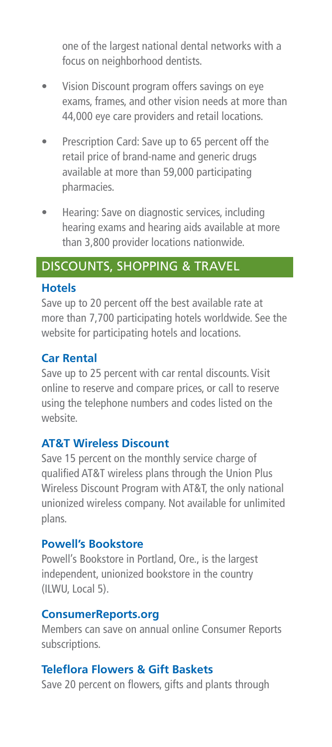one of the largest national dental networks with a focus on neighborhood dentists.

- Vision Discount program offers savings on eye exams, frames, and other vision needs at more than 44,000 eye care providers and retail locations.
- Prescription Card: Save up to 65 percent off the retail price of brand-name and generic drugs available at more than 59,000 participating pharmacies.
- Hearing: Save on diagnostic services, including hearing exams and hearing aids available at more than 3,800 provider locations nationwide.

# DISCOUNTS, SHOPPING & TRAVEL

#### **Hotels**

Save up to 20 percent off the best available rate at more than 7,700 participating hotels worldwide. See the website for participating hotels and locations.

## **Car Rental**

Save up to 25 percent with car rental discounts. Visit online to reserve and compare prices, or call to reserve using the telephone numbers and codes listed on the website.

#### **AT&T Wireless Discount**

Save 15 percent on the monthly service charge of qualified AT&T wireless plans through the Union Plus Wireless Discount Program with AT&T, the only national unionized wireless company. Not available for unlimited plans.

#### **Powell's Bookstore**

Powell's Bookstore in Portland, Ore., is the largest independent, unionized bookstore in the country (ILWU, Local 5).

#### **ConsumerReports.org**

Members can save on annual online Consumer Reports subscriptions.

#### **Teleflora Flowers & Gift Baskets**

Save 20 percent on flowers, gifts and plants through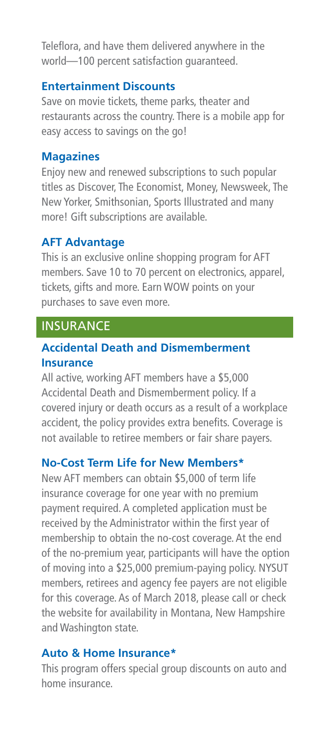Teleflora, and have them delivered anywhere in the world—100 percent satisfaction guaranteed.

#### **Entertainment Discounts**

Save on movie tickets, theme parks, theater and restaurants across the country. There is a mobile app for easy access to savings on the go!

#### **Magazines**

Enjoy new and renewed subscriptions to such popular titles as Discover, The Economist, Money, Newsweek, The New Yorker, Smithsonian, Sports Illustrated and many more! Gift subscriptions are available.

## **AFT Advantage**

This is an exclusive online shopping program for AFT members. Save 10 to 70 percent on electronics, apparel, tickets, gifts and more. Earn WOW points on your purchases to save even more.

## **INSURANCE**

## **Accidental Death and Dismemberment Insurance**

All active, working AFT members have a \$5,000 Accidental Death and Dismemberment policy. If a covered injury or death occurs as a result of a workplace accident, the policy provides extra benefits. Coverage is not available to retiree members or fair share payers.

## **No-Cost Term Life for New Members\***

New AFT members can obtain \$5,000 of term life insurance coverage for one year with no premium payment required. A completed application must be received by the Administrator within the first year of membership to obtain the no-cost coverage. At the end of the no-premium year, participants will have the option of moving into a \$25,000 premium-paying policy. NYSUT members, retirees and agency fee payers are not eligible for this coverage. As of March 2018, please call or check the website for availability in Montana, New Hampshire and Washington state.

#### **Auto & Home Insurance\***

This program offers special group discounts on auto and home insurance.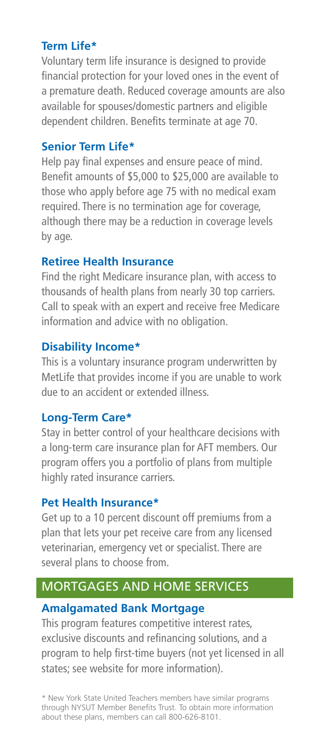#### **Term Life\***

Voluntary term life insurance is designed to provide financial protection for your loved ones in the event of a premature death. Reduced coverage amounts are also available for spouses/domestic partners and eligible dependent children. Benefits terminate at age 70.

## **Senior Term Life\***

Help pay final expenses and ensure peace of mind. Benefit amounts of \$5,000 to \$25,000 are available to those who apply before age 75 with no medical exam required. There is no termination age for coverage, although there may be a reduction in coverage levels by age.

#### **Retiree Health Insurance**

Find the right Medicare insurance plan, with access to thousands of health plans from nearly 30 top carriers. Call to speak with an expert and receive free Medicare information and advice with no obligation.

## **Disability Income\***

This is a voluntary insurance program underwritten by MetLife that provides income if you are unable to work due to an accident or extended illness.

## **Long-Term Care\***

Stay in better control of your healthcare decisions with a long-term care insurance plan for AFT members. Our program offers you a portfolio of plans from multiple highly rated insurance carriers.

#### **Pet Health Insurance\***

Get up to a 10 percent discount off premiums from a plan that lets your pet receive care from any licensed veterinarian, emergency vet or specialist. There are several plans to choose from.

# MORTGAGES AND HOME SERVICES

## **Amalgamated Bank Mortgage**

This program features competitive interest rates, exclusive discounts and refinancing solutions, and a program to help first-time buyers (not yet licensed in all states; see website for more information).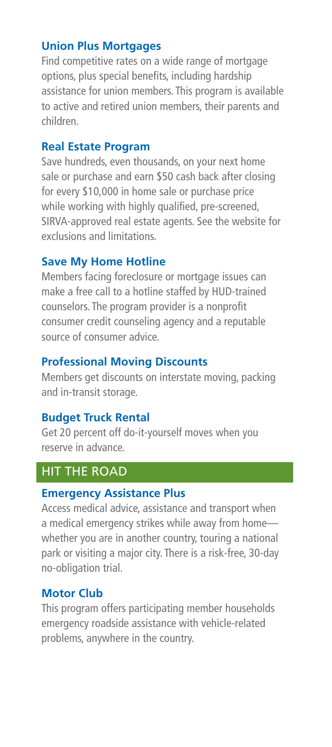#### **Union Plus Mortgages**

Find competitive rates on a wide range of mortgage options, plus special benefits, including hardship assistance for union members. This program is available to active and retired union members, their parents and children.

#### **Real Estate Program**

Save hundreds, even thousands, on your next home sale or purchase and earn \$50 cash back after closing for every \$10,000 in home sale or purchase price while working with highly qualified, pre-screened, SIRVA-approved real estate agents. See the website for exclusions and limitations.

## **Save My Home Hotline**

Members facing foreclosure or mortgage issues can make a free call to a hotline staffed by HUD-trained counselors. The program provider is a nonprofit consumer credit counseling agency and a reputable source of consumer advice.

## **Professional Moving Discounts**

Members get discounts on interstate moving, packing and in-transit storage.

## **Budget Truck Rental**

Get 20 percent off do-it-yourself moves when you reserve in advance.

# HIT THE ROAD

## **Emergency Assistance Plus**

Access medical advice, assistance and transport when a medical emergency strikes while away from home whether you are in another country, touring a national park or visiting a major city. There is a risk-free, 30-day no-obligation trial.

## **Motor Club**

This program offers participating member households emergency roadside assistance with vehicle-related problems, anywhere in the country.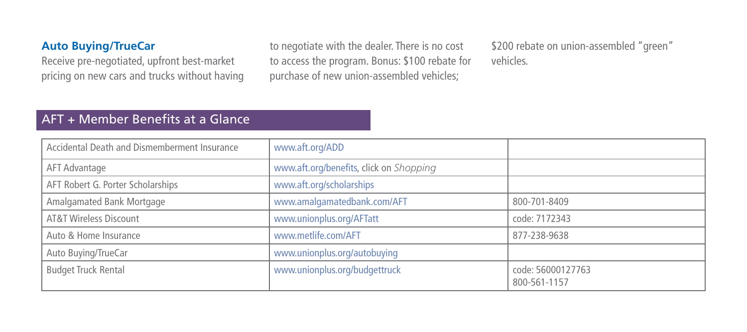#### **Auto Buying/TrueCar**

Receive pre-negotiated, upfront best-market pricing on new cars and trucks without having

to negotiate with the dealer. There is no cost to access the program. Bonus: \$100 rebate for purchase of new union-assembled vehicles;

\$200 rebate on union-assembled "green" vehicles.

## AFT + Member Benefits at a Glance

| Accidental Death and Dismemberment Insurance | www.aft.org/ADD                         |                                   |
|----------------------------------------------|-----------------------------------------|-----------------------------------|
| AFT Advantage                                | www.aft.org/benefits, click on Shopping |                                   |
| AFT Robert G. Porter Scholarships            | www.aft.org/scholarships                |                                   |
| Amalgamated Bank Mortgage                    | www.amalgamatedbank.com/AFT             | 800-701-8409                      |
| AT&T Wireless Discount                       | www.unionplus.org/AFTatt                | code: 7172343                     |
| Auto & Home Insurance                        | www.metlife.com/AFT                     | 877-238-9638                      |
| Auto Buying/TrueCar                          | www.unionplus.org/autobuying            |                                   |
| <b>Budget Truck Rental</b>                   | www.unionplus.org/budgettruck           | code: 56000127763<br>800-561-1157 |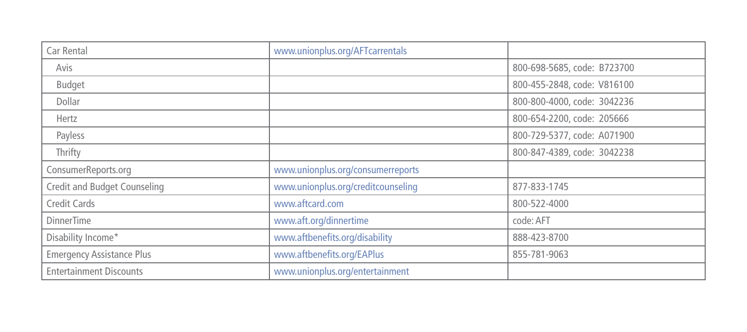| Car Rental                       | www.unionplus.org/AFTcarrentals    |                             |
|----------------------------------|------------------------------------|-----------------------------|
| Avis                             |                                    | 800-698-5685, code: B723700 |
| Budget                           |                                    | 800-455-2848, code: V816100 |
| Dollar                           |                                    | 800-800-4000, code: 3042236 |
| Hertz                            |                                    | 800-654-2200, code: 205666  |
| Payless                          |                                    | 800-729-5377, code: A071900 |
| Thrifty                          |                                    | 800-847-4389, code: 3042238 |
| ConsumerReports.org              | www.unionplus.org/consumerreports  |                             |
| Credit and Budget Counseling     | www.unionplus.org/creditcounseling | 877-833-1745                |
| Credit Cards                     | www.aftcard.com                    | 800-522-4000                |
| <b>DinnerTime</b>                | www.aft.org/dinnertime             | code: AFT                   |
| Disability Income*               | www.aftbenefits.org/disability     | 888-423-8700                |
| <b>Emergency Assistance Plus</b> | www.aftbenefits.org/EAPlus         | 855-781-9063                |
| <b>Entertainment Discounts</b>   | www.unionplus.org/entertainment    |                             |
|                                  |                                    |                             |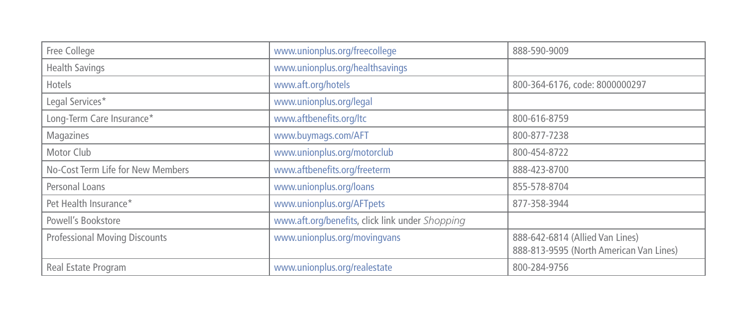| Free College                         | www.unionplus.org/freecollege                   | 888-590-9009                                                               |
|--------------------------------------|-------------------------------------------------|----------------------------------------------------------------------------|
| <b>Health Savings</b>                | www.unionplus.org/healthsavings                 |                                                                            |
| Hotels                               | www.aft.org/hotels                              | 800-364-6176, code: 8000000297                                             |
| Legal Services*                      | www.unionplus.org/legal                         |                                                                            |
| Long-Term Care Insurance*            | www.aftbenefits.org/ltc                         | 800-616-8759                                                               |
| Magazines                            | www.buymags.com/AFT                             | 800-877-7238                                                               |
| Motor Club                           | www.unionplus.org/motorclub                     | 800-454-8722                                                               |
| No-Cost Term Life for New Members    | www.aftbenefits.org/freeterm                    | 888-423-8700                                                               |
| Personal Loans                       | www.unionplus.org/loans                         | 855-578-8704                                                               |
| Pet Health Insurance*                | www.unionplus.org/AFTpets                       | 877-358-3944                                                               |
| Powell's Bookstore                   | www.aft.org/benefits, click link under Shopping |                                                                            |
| <b>Professional Moving Discounts</b> | www.unionplus.org/movingvans                    | 888-642-6814 (Allied Van Lines)<br>888-813-9595 (North American Van Lines) |
| Real Estate Program                  | www.unionplus.org/realestate                    | 800-284-9756                                                               |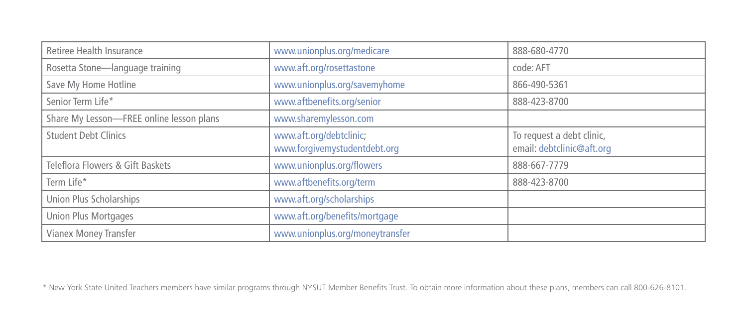| Retiree Health Insurance                 | www.unionplus.org/medicare                              | 888-680-4770                                           |
|------------------------------------------|---------------------------------------------------------|--------------------------------------------------------|
| Rosetta Stone-language training          | www.aft.org/rosettastone                                | code: AFT                                              |
| Save My Home Hotline                     | www.unionplus.org/savemyhome                            | 866-490-5361                                           |
| Senior Term Life*                        | www.aftbenefits.org/senior                              | 888-423-8700                                           |
| Share My Lesson-FREE online lesson plans | www.sharemylesson.com                                   |                                                        |
| <b>Student Debt Clinics</b>              | www.aft.org/debtclinic;<br>www.forgivemystudentdebt.org | To request a debt clinic,<br>email: debtclinic@aft.org |
| Teleflora Flowers & Gift Baskets         | www.unionplus.org/flowers                               | 888-667-7779                                           |
| Term Life*                               | www.aftbenefits.org/term                                | 888-423-8700                                           |
| Union Plus Scholarships                  | www.aft.org/scholarships                                |                                                        |
| Union Plus Mortgages                     | www.aft.org/benefits/mortgage                           |                                                        |
| Vianex Money Transfer                    | www.unionplus.org/moneytransfer                         |                                                        |

\* New York State United Teachers members have similar programs through NYSUT Member Benefits Trust. To obtain more information about these plans, members can call 800-626-8101.